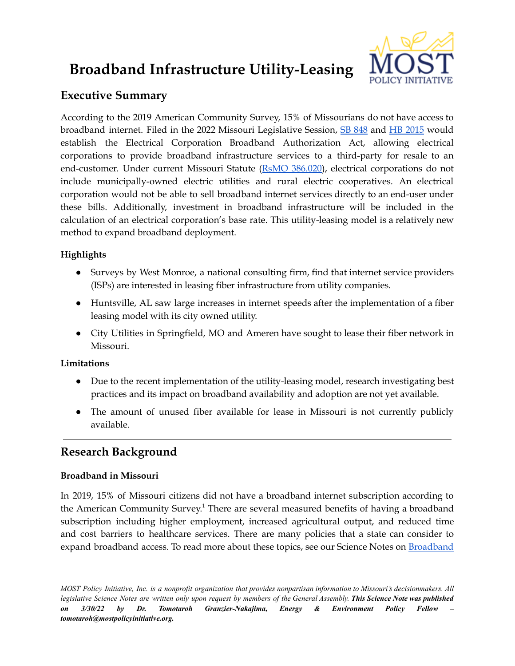# **Broadband Infrastructure Utility-Leasing**



# **Executive Summary**

According to the 2019 American Community Survey, 15% of Missourians do not have access to broadband internet. Filed in the 2022 Missouri Legislative Session, SB [848](https://www.senate.mo.gov/22info/bts_web/Bill.aspx?SessionType=R&BillID=71259743) and HB [2015](https://www.house.mo.gov/bill.aspx?bill=HB2015&year=2022&code=R) would establish the Electrical Corporation Broadband Authorization Act, allowing electrical corporations to provide broadband infrastructure services to a third-party for resale to an end-customer. Under current Missouri Statute (RsMO [386.020\)](https://revisor.mo.gov/main/OneSection.aspx?section=386.020), electrical corporations do not include municipally-owned electric utilities and rural electric cooperatives. An electrical corporation would not be able to sell broadband internet services directly to an end-user under these bills. Additionally, investment in broadband infrastructure will be included in the calculation of an electrical corporation's base rate. This utility-leasing model is a relatively new method to expand broadband deployment.

## **Highlights**

- Surveys by West Monroe, a national consulting firm, find that internet service providers (ISPs) are interested in leasing fiber infrastructure from utility companies.
- Huntsville, AL saw large increases in internet speeds after the implementation of a fiber leasing model with its city owned utility.
- City Utilities in Springfield, MO and Ameren have sought to lease their fiber network in Missouri.

### **Limitations**

- Due to the recent implementation of the utility-leasing model, research investigating best practices and its impact on broadband availability and adoption are not yet available.
- The amount of unused fiber available for lease in Missouri is not currently publicly available.

# **Research Background**

#### **Broadband in Missouri**

In 2019, 15% of Missouri citizens did not have a broadband internet subscription according to the American Community Survey.<sup>1</sup> There are several measured benefits of having a broadband subscription including higher employment, increased agricultural output, and reduced time and cost barriers to healthcare services. There are many policies that a state can consider to expand broadband access. To read more about these topics, see our Science Notes on [Broadband](https://mostpolicyinitiative.org/science-note/broadband-deployment/)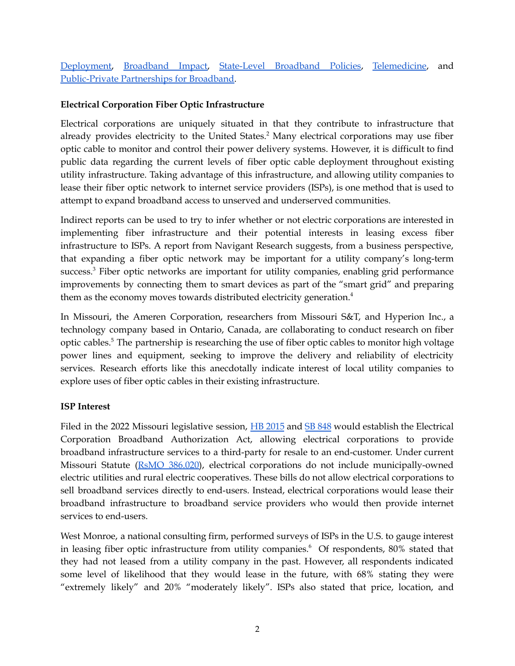[Deployment,](https://mostpolicyinitiative.org/science-note/broadband-deployment/) [Broadband](https://mostpolicyinitiative.org/science-note/broadband-impacts/) Impact, [State-Level](https://mostpolicyinitiative.org/science-note/state-level-broadband-policies/) Broadband Policies, [Telemedicine](https://mostpolicyinitiative.org/science-note/broadband-and-telemedicine/), and [Public-Private](https://mostpolicyinitiative.org/science-note/vertical-asset-management-public-private-partnerships-and-funding-benchmarks-for-broadband-deployment/) Partnerships for Broadband.

#### **Electrical Corporation Fiber Optic Infrastructure**

Electrical corporations are uniquely situated in that they contribute to infrastructure that already provides electricity to the United States. <sup>2</sup> Many electrical corporations may use fiber optic cable to monitor and control their power delivery systems. However, it is difficult to find public data regarding the current levels of fiber optic cable deployment throughout existing utility infrastructure. Taking advantage of this infrastructure, and allowing utility companies to lease their fiber optic network to internet service providers (ISPs), is one method that is used to attempt to expand broadband access to unserved and underserved communities.

Indirect reports can be used to try to infer whether or not electric corporations are interested in implementing fiber infrastructure and their potential interests in leasing excess fiber infrastructure to ISPs. A report from Navigant Research suggests, from a business perspective, that expanding a fiber optic network may be important for a utility company's long-term success.<sup>3</sup> Fiber optic networks are important for utility companies, enabling grid performance improvements by connecting them to smart devices as part of the "smart grid" and preparing them as the economy moves towards distributed electricity generation.<sup>4</sup>

In Missouri, the Ameren Corporation, researchers from Missouri S&T, and Hyperion Inc., a technology company based in Ontario, Canada, are collaborating to conduct research on fiber optic cables. <sup>5</sup> The partnership is researching the use of fiber optic cables to monitor high voltage power lines and equipment, seeking to improve the delivery and reliability of electricity services. Research efforts like this anecdotally indicate interest of local utility companies to explore uses of fiber optic cables in their existing infrastructure.

#### **ISP Interest**

Filed in the 2022 Missouri legislative session, HB [2015](https://www.house.mo.gov/bill.aspx?bill=HB2015&year=2022&code=R) and SB [848](https://www.senate.mo.gov/22info/bts_web/Bill.aspx?SessionType=R&BillID=71259743) would establish the Electrical Corporation Broadband Authorization Act, allowing electrical corporations to provide broadband infrastructure services to a third-party for resale to an end-customer. Under current Missouri Statute (RsMO [386.020\)](https://revisor.mo.gov/main/OneSection.aspx?section=386.020), electrical corporations do not include municipally-owned electric utilities and rural electric cooperatives. These bills do not allow electrical corporations to sell broadband services directly to end-users. Instead, electrical corporations would lease their broadband infrastructure to broadband service providers who would then provide internet services to end-users.

West Monroe, a national consulting firm, performed surveys of ISPs in the U.S. to gauge interest in leasing fiber optic infrastructure from utility companies. <sup>6</sup> Of respondents, 80% stated that they had not leased from a utility company in the past. However, all respondents indicated some level of likelihood that they would lease in the future, with 68% stating they were "extremely likely" and 20% "moderately likely". ISPs also stated that price, location, and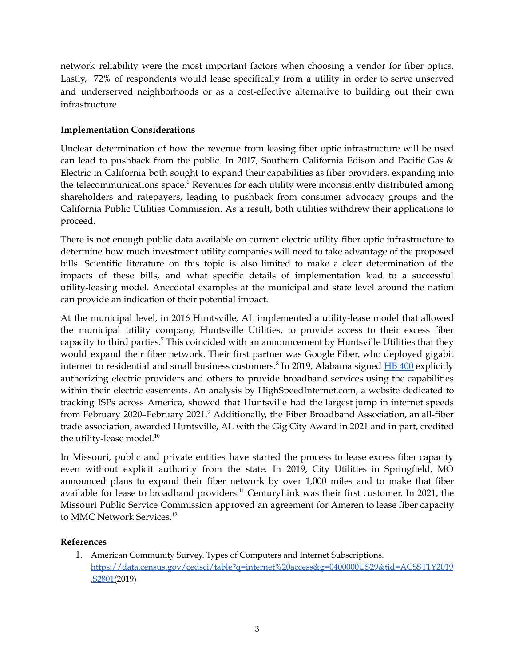network reliability were the most important factors when choosing a vendor for fiber optics. Lastly, 72% of respondents would lease specifically from a utility in order to serve unserved and underserved neighborhoods or as a cost-effective alternative to building out their own infrastructure.

#### **Implementation Considerations**

Unclear determination of how the revenue from leasing fiber optic infrastructure will be used can lead to pushback from the public. In 2017, Southern California Edison and Pacific Gas & Electric in California both sought to expand their capabilities as fiber providers, expanding into the telecommunications space. <sup>6</sup> Revenues for each utility were inconsistently distributed among shareholders and ratepayers, leading to pushback from consumer advocacy groups and the California Public Utilities Commission. As a result, both utilities withdrew their applications to proceed.

There is not enough public data available on current electric utility fiber optic infrastructure to determine how much investment utility companies will need to take advantage of the proposed bills. Scientific literature on this topic is also limited to make a clear determination of the impacts of these bills, and what specific details of implementation lead to a successful utility-leasing model. Anecdotal examples at the municipal and state level around the nation can provide an indication of their potential impact.

At the municipal level, in 2016 Huntsville, AL implemented a utility-lease model that allowed the municipal utility company, Huntsville Utilities, to provide access to their excess fiber capacity to third parties.<sup>7</sup> This coincided with an announcement by Huntsville Utilities that they would expand their fiber network. Their first partner was Google Fiber, who deployed gigabit internet to residential and small business customers.<sup>8</sup> In 2019, Alabama signed **HB [400](https://legiscan.com/AL/bill/HB400/2019)** explicitly authorizing electric providers and others to provide broadband services using the capabilities within their electric easements. An analysis by HighSpeedInternet.com, a website dedicated to tracking ISPs across America, showed that Huntsville had the largest jump in internet speeds from February 2020–February 2021. <sup>9</sup> Additionally, the Fiber Broadband Association, an all-fiber trade association, awarded Huntsville, AL with the Gig City Award in 2021 and in part, credited the utility-lease model. 10

In Missouri, public and private entities have started the process to lease excess fiber capacity even without explicit authority from the state. In 2019, City Utilities in Springfield, MO announced plans to expand their fiber network by over 1,000 miles and to make that fiber available for lease to broadband providers.<sup>11</sup> CenturyLink was their first customer. In 2021, the Missouri Public Service Commission approved an agreement for Ameren to lease fiber capacity to MMC Network Services. 12

#### **References**

1. American Community Survey. Types of Computers and Internet Subscriptions. [https://data.census.gov/cedsci/table?q=internet%20access&g=0400000US29&tid=ACSST1Y2019](https://data.census.gov/cedsci/table?q=internet%20access&g=0400000US29&tid=ACSST1Y2019.S2801) [.S2801\(](https://data.census.gov/cedsci/table?q=internet%20access&g=0400000US29&tid=ACSST1Y2019.S2801)2019)